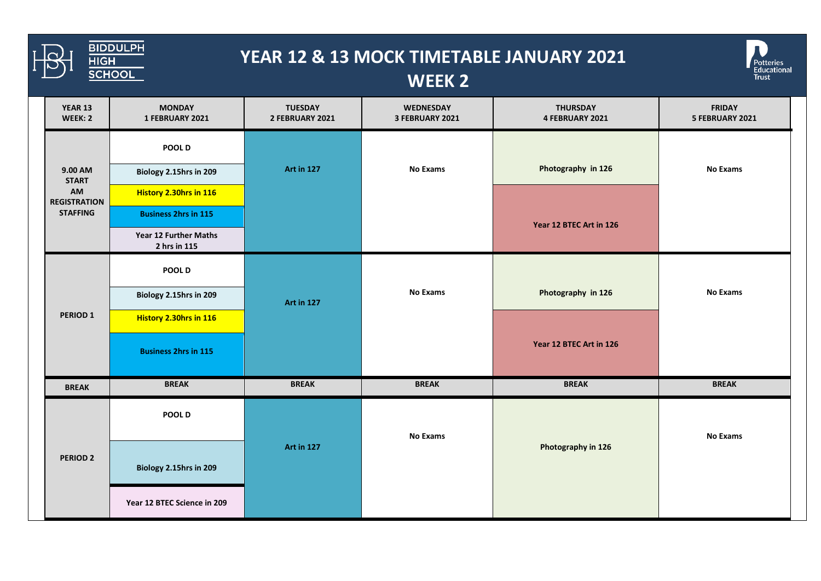

## **YEAR 12 & 13 MOCK TIMETABLE JANUARY 2021**



## **WEEK 2**

| YEAR 13<br>WEEK: 2                                                      | <b>MONDAY</b><br>1 FEBRUARY 2021      | <b>TUESDAY</b><br>2 FEBRUARY 2021 | WEDNESDAY<br>3 FEBRUARY 2021 | <b>THURSDAY</b><br>4 FEBRUARY 2021 | <b>FRIDAY</b><br>5 FEBRUARY 2021 |
|-------------------------------------------------------------------------|---------------------------------------|-----------------------------------|------------------------------|------------------------------------|----------------------------------|
| 9.00 AM<br><b>START</b><br>AM<br><b>REGISTRATION</b><br><b>STAFFING</b> | POOL D                                |                                   |                              |                                    |                                  |
|                                                                         | Biology 2.15hrs in 209                | <b>Art in 127</b>                 | <b>No Exams</b>              | Photography in 126                 | <b>No Exams</b>                  |
|                                                                         | History 2.30hrs in 116                |                                   |                              |                                    |                                  |
|                                                                         | <b>Business 2hrs in 115</b>           |                                   |                              | Year 12 BTEC Art in 126            |                                  |
|                                                                         | Year 12 Further Maths<br>2 hrs in 115 |                                   |                              |                                    |                                  |
| PERIOD <sub>1</sub>                                                     | POOL D                                | <b>Art in 127</b>                 | <b>No Exams</b>              | Photography in 126                 |                                  |
|                                                                         | Biology 2.15hrs in 209                |                                   |                              |                                    | <b>No Exams</b>                  |
|                                                                         | History 2.30hrs in 116                |                                   |                              |                                    |                                  |
|                                                                         | <b>Business 2hrs in 115</b>           |                                   |                              | Year 12 BTEC Art in 126            |                                  |
| <b>BREAK</b>                                                            | <b>BREAK</b>                          | <b>BREAK</b>                      | <b>BREAK</b>                 | <b>BREAK</b>                       | <b>BREAK</b>                     |
| PERIOD <sub>2</sub>                                                     | POOL D                                | <b>Art in 127</b>                 | <b>No Exams</b>              | Photography in 126                 | <b>No Exams</b>                  |
|                                                                         | Biology 2.15hrs in 209                |                                   |                              |                                    |                                  |
|                                                                         | Year 12 BTEC Science in 209           |                                   |                              |                                    |                                  |